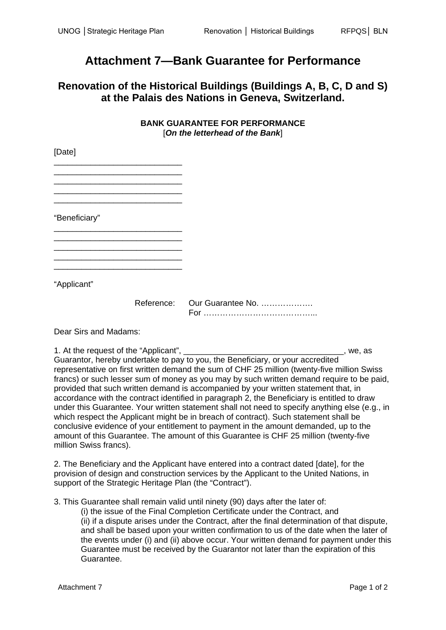## **Attachment 7—Bank Guarantee for Performance**

## **Renovation of the Historical Buildings (Buildings A, B, C, D and S) at the Palais des Nations in Geneva, Switzerland.**

## **BANK GUARANTEE FOR PERFORMANCE**  [*On the letterhead of the Bank*]

| [Dalo]        |                              |
|---------------|------------------------------|
|               |                              |
|               |                              |
|               |                              |
|               |                              |
| "Beneficiary" |                              |
|               |                              |
|               |                              |
|               |                              |
|               |                              |
| "Applicant"   |                              |
|               | Reference: Our Guarantee No. |
|               |                              |

Dear Sirs and Madams:

 $[DA<sub>0</sub>]$ 

1. At the request of the "Applicant", \_\_\_\_\_\_\_\_\_\_\_\_\_\_\_\_\_\_\_\_\_\_\_\_\_\_\_\_\_\_\_\_\_\_\_, we, as Guarantor, hereby undertake to pay to you, the Beneficiary, or your accredited representative on first written demand the sum of CHF 25 million (twenty-five million Swiss francs) or such lesser sum of money as you may by such written demand require to be paid, provided that such written demand is accompanied by your written statement that, in accordance with the contract identified in paragraph 2, the Beneficiary is entitled to draw under this Guarantee. Your written statement shall not need to specify anything else (e.g., in which respect the Applicant might be in breach of contract). Such statement shall be conclusive evidence of your entitlement to payment in the amount demanded, up to the amount of this Guarantee. The amount of this Guarantee is CHF 25 million (twenty-five million Swiss francs).

2. The Beneficiary and the Applicant have entered into a contract dated [date], for the provision of design and construction services by the Applicant to the United Nations, in support of the Strategic Heritage Plan (the "Contract").

3. This Guarantee shall remain valid until ninety (90) days after the later of:

(i) the issue of the Final Completion Certificate under the Contract, and (ii) if a dispute arises under the Contract, after the final determination of that dispute, and shall be based upon your written confirmation to us of the date when the later of the events under (i) and (ii) above occur. Your written demand for payment under this Guarantee must be received by the Guarantor not later than the expiration of this Guarantee.